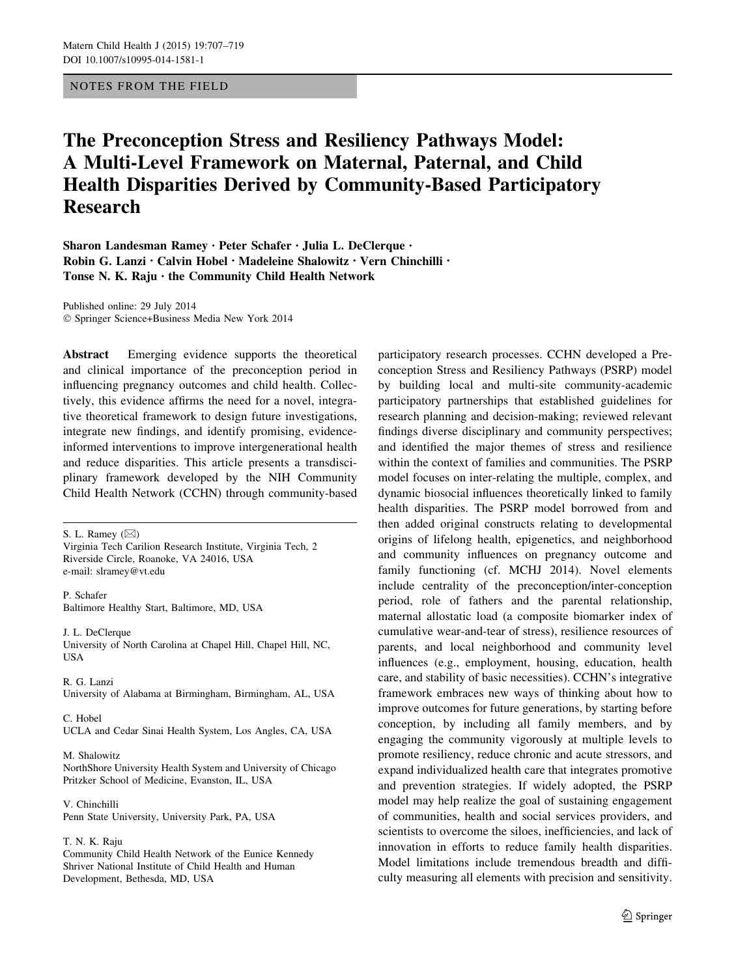NOTES FROM THE FIELD

# The Preconception Stress and Resiliency Pathways Model: A Multi-Level Framework on Maternal, Paternal, and Child Health Disparities Derived by Community-Based Participatory Research

Sharon Landesman Ramey • Peter Schafer • Julia L. DeClerque • Robin G. Lanzi • Calvin Hobel • Madeleine Shalowitz • Vern Chinchilli • Tonse N. K. Raju • the Community Child Health Network

Published online: 29 July 2014 - Springer Science+Business Media New York 2014

Abstract Emerging evidence supports the theoretical and clinical importance of the preconception period in influencing pregnancy outcomes and child health. Collectively, this evidence affirms the need for a novel, integrative theoretical framework to design future investigations, integrate new findings, and identify promising, evidenceinformed interventions to improve intergenerational health and reduce disparities. This article presents a transdisciplinary framework developed by the NIH Community Child Health Network (CCHN) through community-based

S. L. Ramey  $(\boxtimes)$ 

Virginia Tech Carilion Research Institute, Virginia Tech, 2 Riverside Circle, Roanoke, VA 24016, USA e-mail: slramey@vt.edu

P. Schafer Baltimore Healthy Start, Baltimore, MD, USA

J. L. DeClerque University of North Carolina at Chapel Hill, Chapel Hill, NC, USA

R. G. Lanzi University of Alabama at Birmingham, Birmingham, AL, USA

C. Hobel UCLA and Cedar Sinai Health System, Los Angles, CA, USA

M. Shalowitz

NorthShore University Health System and University of Chicago Pritzker School of Medicine, Evanston, IL, USA

V. Chinchilli Penn State University, University Park, PA, USA

T. N. K. Raju

Community Child Health Network of the Eunice Kennedy Shriver National Institute of Child Health and Human Development, Bethesda, MD, USA

participatory research processes. CCHN developed a Preconception Stress and Resiliency Pathways (PSRP) model by building local and multi-site community-academic participatory partnerships that established guidelines for research planning and decision-making; reviewed relevant findings diverse disciplinary and community perspectives; and identified the major themes of stress and resilience within the context of families and communities. The PSRP model focuses on inter-relating the multiple, complex, and dynamic biosocial influences theoretically linked to family health disparities. The PSRP model borrowed from and then added original constructs relating to developmental origins of lifelong health, epigenetics, and neighborhood and community influences on pregnancy outcome and family functioning (cf. MCHJ 2014). Novel elements include centrality of the preconception/inter-conception period, role of fathers and the parental relationship, maternal allostatic load (a composite biomarker index of cumulative wear-and-tear of stress), resilience resources of parents, and local neighborhood and community level influences (e.g., employment, housing, education, health care, and stability of basic necessities). CCHN's integrative framework embraces new ways of thinking about how to improve outcomes for future generations, by starting before conception, by including all family members, and by engaging the community vigorously at multiple levels to promote resiliency, reduce chronic and acute stressors, and expand individualized health care that integrates promotive and prevention strategies. If widely adopted, the PSRP model may help realize the goal of sustaining engagement of communities, health and social services providers, and scientists to overcome the siloes, inefficiencies, and lack of innovation in efforts to reduce family health disparities. Model limitations include tremendous breadth and difficulty measuring all elements with precision and sensitivity.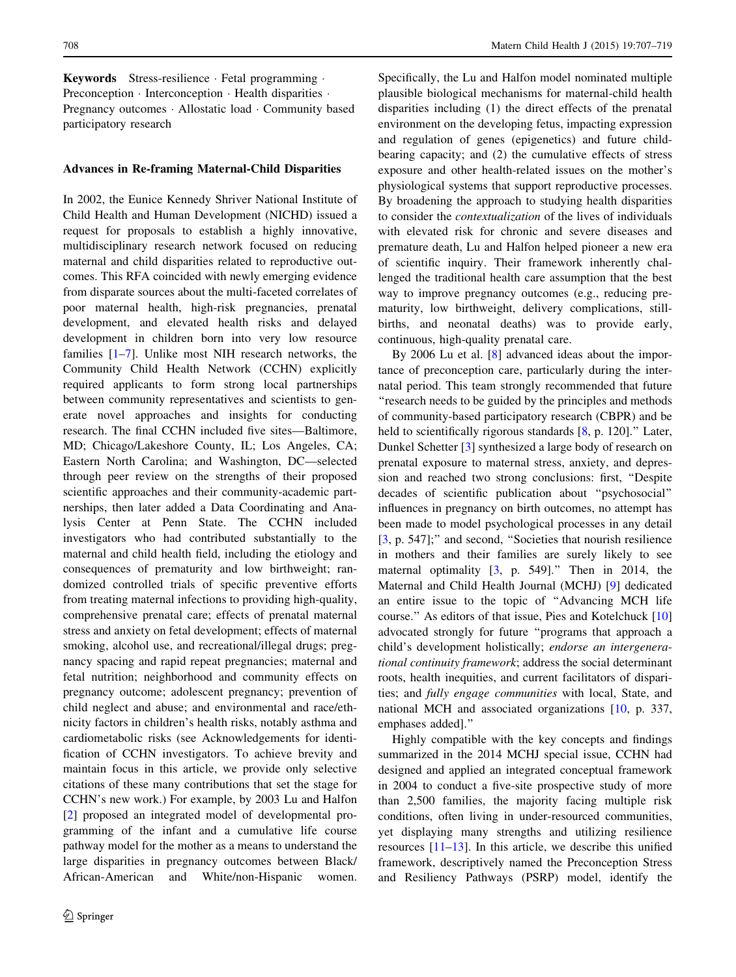Keywords Stress-resilience · Fetal programming · Preconception · Interconception · Health disparities · Pregnancy outcomes · Allostatic load · Community based participatory research

#### Advances in Re-framing Maternal-Child Disparities

In 2002, the Eunice Kennedy Shriver National Institute of Child Health and Human Development (NICHD) issued a request for proposals to establish a highly innovative, multidisciplinary research network focused on reducing maternal and child disparities related to reproductive outcomes. This RFA coincided with newly emerging evidence from disparate sources about the multi-faceted correlates of poor maternal health, high-risk pregnancies, prenatal development, and elevated health risks and delayed development in children born into very low resource families [\[1](#page-10-0)[–7](#page-11-0)]. Unlike most NIH research networks, the Community Child Health Network (CCHN) explicitly required applicants to form strong local partnerships between community representatives and scientists to generate novel approaches and insights for conducting research. The final CCHN included five sites—Baltimore, MD; Chicago/Lakeshore County, IL; Los Angeles, CA; Eastern North Carolina; and Washington, DC—selected through peer review on the strengths of their proposed scientific approaches and their community-academic partnerships, then later added a Data Coordinating and Analysis Center at Penn State. The CCHN included investigators who had contributed substantially to the maternal and child health field, including the etiology and consequences of prematurity and low birthweight; randomized controlled trials of specific preventive efforts from treating maternal infections to providing high-quality, comprehensive prenatal care; effects of prenatal maternal stress and anxiety on fetal development; effects of maternal smoking, alcohol use, and recreational/illegal drugs; pregnancy spacing and rapid repeat pregnancies; maternal and fetal nutrition; neighborhood and community effects on pregnancy outcome; adolescent pregnancy; prevention of child neglect and abuse; and environmental and race/ethnicity factors in children's health risks, notably asthma and cardiometabolic risks (see Acknowledgements for identification of CCHN investigators. To achieve brevity and maintain focus in this article, we provide only selective citations of these many contributions that set the stage for CCHN's new work.) For example, by 2003 Lu and Halfon [\[2](#page-10-0)] proposed an integrated model of developmental programming of the infant and a cumulative life course pathway model for the mother as a means to understand the large disparities in pregnancy outcomes between Black/ African-American and White/non-Hispanic women.

Specifically, the Lu and Halfon model nominated multiple plausible biological mechanisms for maternal-child health disparities including (1) the direct effects of the prenatal environment on the developing fetus, impacting expression and regulation of genes (epigenetics) and future childbearing capacity; and (2) the cumulative effects of stress exposure and other health-related issues on the mother's physiological systems that support reproductive processes. By broadening the approach to studying health disparities to consider the contextualization of the lives of individuals with elevated risk for chronic and severe diseases and premature death, Lu and Halfon helped pioneer a new era of scientific inquiry. Their framework inherently challenged the traditional health care assumption that the best way to improve pregnancy outcomes (e.g., reducing prematurity, low birthweight, delivery complications, stillbirths, and neonatal deaths) was to provide early, continuous, high-quality prenatal care.

By 2006 Lu et al. [\[8](#page-11-0)] advanced ideas about the importance of preconception care, particularly during the internatal period. This team strongly recommended that future ''research needs to be guided by the principles and methods of community-based participatory research (CBPR) and be held to scientifically rigorous standards [[8,](#page-11-0) p. 120]." Later, Dunkel Schetter [\[3](#page-11-0)] synthesized a large body of research on prenatal exposure to maternal stress, anxiety, and depression and reached two strong conclusions: first, ''Despite decades of scientific publication about ''psychosocial'' influences in pregnancy on birth outcomes, no attempt has been made to model psychological processes in any detail [\[3](#page-11-0), p. 547];'' and second, ''Societies that nourish resilience in mothers and their families are surely likely to see maternal optimality [\[3](#page-11-0), p. 549].'' Then in 2014, the Maternal and Child Health Journal (MCHJ) [[9\]](#page-11-0) dedicated an entire issue to the topic of ''Advancing MCH life course.'' As editors of that issue, Pies and Kotelchuck [[10\]](#page-11-0) advocated strongly for future ''programs that approach a child's development holistically; endorse an intergenerational continuity framework; address the social determinant roots, health inequities, and current facilitators of disparities; and fully engage communities with local, State, and national MCH and associated organizations [\[10](#page-11-0), p. 337, emphases added].''

Highly compatible with the key concepts and findings summarized in the 2014 MCHJ special issue, CCHN had designed and applied an integrated conceptual framework in 2004 to conduct a five-site prospective study of more than 2,500 families, the majority facing multiple risk conditions, often living in under-resourced communities, yet displaying many strengths and utilizing resilience resources  $[11-13]$ . In this article, we describe this unified framework, descriptively named the Preconception Stress and Resiliency Pathways (PSRP) model, identify the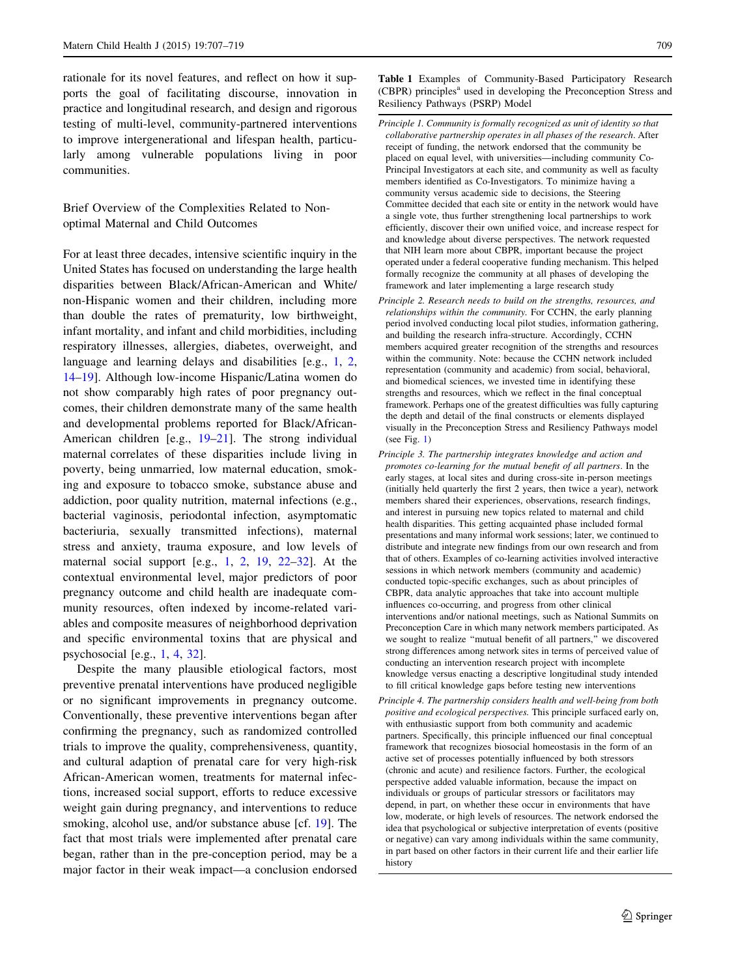<span id="page-2-0"></span>rationale for its novel features, and reflect on how it supports the goal of facilitating discourse, innovation in practice and longitudinal research, and design and rigorous testing of multi-level, community-partnered interventions to improve intergenerational and lifespan health, particularly among vulnerable populations living in poor communities.

Brief Overview of the Complexities Related to Nonoptimal Maternal and Child Outcomes

For at least three decades, intensive scientific inquiry in the United States has focused on understanding the large health disparities between Black/African-American and White/ non-Hispanic women and their children, including more than double the rates of prematurity, low birthweight, infant mortality, and infant and child morbidities, including respiratory illnesses, allergies, diabetes, overweight, and language and learning delays and disabilities [e.g., [1,](#page-10-0) [2,](#page-10-0) [14](#page-11-0)–[19\]](#page-11-0). Although low-income Hispanic/Latina women do not show comparably high rates of poor pregnancy outcomes, their children demonstrate many of the same health and developmental problems reported for Black/African-American children [e.g., [19–21](#page-11-0)]. The strong individual maternal correlates of these disparities include living in poverty, being unmarried, low maternal education, smoking and exposure to tobacco smoke, substance abuse and addiction, poor quality nutrition, maternal infections (e.g., bacterial vaginosis, periodontal infection, asymptomatic bacteriuria, sexually transmitted infections), maternal stress and anxiety, trauma exposure, and low levels of maternal social support [e.g., [1,](#page-10-0) [2](#page-10-0), [19](#page-11-0), [22–32](#page-11-0)]. At the contextual environmental level, major predictors of poor pregnancy outcome and child health are inadequate community resources, often indexed by income-related variables and composite measures of neighborhood deprivation and specific environmental toxins that are physical and psychosocial [e.g., [1,](#page-10-0) [4](#page-11-0), [32](#page-11-0)].

Despite the many plausible etiological factors, most preventive prenatal interventions have produced negligible or no significant improvements in pregnancy outcome. Conventionally, these preventive interventions began after confirming the pregnancy, such as randomized controlled trials to improve the quality, comprehensiveness, quantity, and cultural adaption of prenatal care for very high-risk African-American women, treatments for maternal infections, increased social support, efforts to reduce excessive weight gain during pregnancy, and interventions to reduce smoking, alcohol use, and/or substance abuse [cf. [19\]](#page-11-0). The fact that most trials were implemented after prenatal care began, rather than in the pre-conception period, may be a major factor in their weak impact—a conclusion endorsed Table 1 Examples of Community-Based Participatory Research  $(CBPR)$  principles<sup>a</sup> used in developing the Preconception Stress and Resiliency Pathways (PSRP) Model

- Principle 1. Community is formally recognized as unit of identity so that collaborative partnership operates in all phases of the research. After receipt of funding, the network endorsed that the community be placed on equal level, with universities—including community Co-Principal Investigators at each site, and community as well as faculty members identified as Co-Investigators. To minimize having a community versus academic side to decisions, the Steering Committee decided that each site or entity in the network would have a single vote, thus further strengthening local partnerships to work efficiently, discover their own unified voice, and increase respect for and knowledge about diverse perspectives. The network requested that NIH learn more about CBPR, important because the project operated under a federal cooperative funding mechanism. This helped formally recognize the community at all phases of developing the framework and later implementing a large research study
- Principle 2. Research needs to build on the strengths, resources, and relationships within the community. For CCHN, the early planning period involved conducting local pilot studies, information gathering, and building the research infra-structure. Accordingly, CCHN members acquired greater recognition of the strengths and resources within the community. Note: because the CCHN network included representation (community and academic) from social, behavioral, and biomedical sciences, we invested time in identifying these strengths and resources, which we reflect in the final conceptual framework. Perhaps one of the greatest difficulties was fully capturing the depth and detail of the final constructs or elements displayed visually in the Preconception Stress and Resiliency Pathways model (see Fig.  $1$ )
- Principle 3. The partnership integrates knowledge and action and promotes co-learning for the mutual benefit of all partners. In the early stages, at local sites and during cross-site in-person meetings (initially held quarterly the first 2 years, then twice a year), network members shared their experiences, observations, research findings, and interest in pursuing new topics related to maternal and child health disparities. This getting acquainted phase included formal presentations and many informal work sessions; later, we continued to distribute and integrate new findings from our own research and from that of others. Examples of co-learning activities involved interactive sessions in which network members (community and academic) conducted topic-specific exchanges, such as about principles of CBPR, data analytic approaches that take into account multiple influences co-occurring, and progress from other clinical interventions and/or national meetings, such as National Summits on Preconception Care in which many network members participated. As we sought to realize ''mutual benefit of all partners,'' we discovered strong differences among network sites in terms of perceived value of conducting an intervention research project with incomplete knowledge versus enacting a descriptive longitudinal study intended to fill critical knowledge gaps before testing new interventions
- Principle 4. The partnership considers health and well-being from both positive and ecological perspectives. This principle surfaced early on, with enthusiastic support from both community and academic partners. Specifically, this principle influenced our final conceptual framework that recognizes biosocial homeostasis in the form of an active set of processes potentially influenced by both stressors (chronic and acute) and resilience factors. Further, the ecological perspective added valuable information, because the impact on individuals or groups of particular stressors or facilitators may depend, in part, on whether these occur in environments that have low, moderate, or high levels of resources. The network endorsed the idea that psychological or subjective interpretation of events (positive or negative) can vary among individuals within the same community, in part based on other factors in their current life and their earlier life history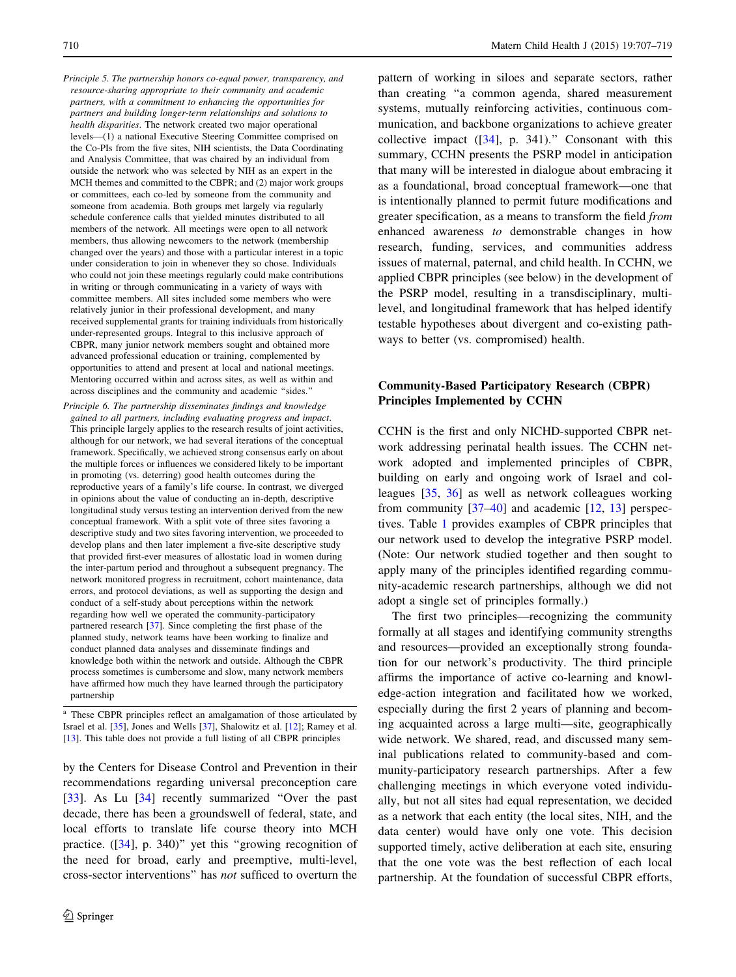- Principle 5. The partnership honors co-equal power, transparency, and resource-sharing appropriate to their community and academic partners, with a commitment to enhancing the opportunities for partners and building longer-term relationships and solutions to health disparities. The network created two major operational levels—(1) a national Executive Steering Committee comprised on the Co-PIs from the five sites, NIH scientists, the Data Coordinating and Analysis Committee, that was chaired by an individual from outside the network who was selected by NIH as an expert in the MCH themes and committed to the CBPR; and (2) major work groups or committees, each co-led by someone from the community and someone from academia. Both groups met largely via regularly schedule conference calls that yielded minutes distributed to all members of the network. All meetings were open to all network members, thus allowing newcomers to the network (membership changed over the years) and those with a particular interest in a topic under consideration to join in whenever they so chose. Individuals who could not join these meetings regularly could make contributions in writing or through communicating in a variety of ways with committee members. All sites included some members who were relatively junior in their professional development, and many received supplemental grants for training individuals from historically under-represented groups. Integral to this inclusive approach of CBPR, many junior network members sought and obtained more advanced professional education or training, complemented by opportunities to attend and present at local and national meetings. Mentoring occurred within and across sites, as well as within and across disciplines and the community and academic ''sides.''
- Principle 6. The partnership disseminates findings and knowledge gained to all partners, including evaluating progress and impact. This principle largely applies to the research results of joint activities, although for our network, we had several iterations of the conceptual framework. Specifically, we achieved strong consensus early on about the multiple forces or influences we considered likely to be important in promoting (vs. deterring) good health outcomes during the reproductive years of a family's life course. In contrast, we diverged in opinions about the value of conducting an in-depth, descriptive longitudinal study versus testing an intervention derived from the new conceptual framework. With a split vote of three sites favoring a descriptive study and two sites favoring intervention, we proceeded to develop plans and then later implement a five-site descriptive study that provided first-ever measures of allostatic load in women during the inter-partum period and throughout a subsequent pregnancy. The network monitored progress in recruitment, cohort maintenance, data errors, and protocol deviations, as well as supporting the design and conduct of a self-study about perceptions within the network regarding how well we operated the community-participatory partnered research [[37\]](#page-12-0). Since completing the first phase of the planned study, network teams have been working to finalize and conduct planned data analyses and disseminate findings and knowledge both within the network and outside. Although the CBPR process sometimes is cumbersome and slow, many network members have affirmed how much they have learned through the participatory partnership

by the Centers for Disease Control and Prevention in their recommendations regarding universal preconception care [\[33](#page-11-0)]. As Lu [[34\]](#page-11-0) recently summarized "Over the past decade, there has been a groundswell of federal, state, and local efforts to translate life course theory into MCH practice. ([[34\]](#page-11-0), p. 340)" yet this "growing recognition of the need for broad, early and preemptive, multi-level, cross-sector interventions'' has not sufficed to overturn the

pattern of working in siloes and separate sectors, rather than creating ''a common agenda, shared measurement systems, mutually reinforcing activities, continuous communication, and backbone organizations to achieve greater collective impact  $(34)$ , p. 341)." Consonant with this summary, CCHN presents the PSRP model in anticipation that many will be interested in dialogue about embracing it as a foundational, broad conceptual framework—one that is intentionally planned to permit future modifications and greater specification, as a means to transform the field from enhanced awareness to demonstrable changes in how research, funding, services, and communities address issues of maternal, paternal, and child health. In CCHN, we applied CBPR principles (see below) in the development of the PSRP model, resulting in a transdisciplinary, multilevel, and longitudinal framework that has helped identify testable hypotheses about divergent and co-existing pathways to better (vs. compromised) health.

## Community-Based Participatory Research (CBPR) Principles Implemented by CCHN

CCHN is the first and only NICHD-supported CBPR network addressing perinatal health issues. The CCHN network adopted and implemented principles of CBPR, building on early and ongoing work of Israel and colleagues [\[35](#page-11-0), [36](#page-11-0)] as well as network colleagues working from community  $[37-40]$  and academic  $[12, 13]$  $[12, 13]$  $[12, 13]$  $[12, 13]$  perspectives. Table [1](#page-2-0) provides examples of CBPR principles that our network used to develop the integrative PSRP model. (Note: Our network studied together and then sought to apply many of the principles identified regarding community-academic research partnerships, although we did not adopt a single set of principles formally.)

The first two principles—recognizing the community formally at all stages and identifying community strengths and resources—provided an exceptionally strong foundation for our network's productivity. The third principle affirms the importance of active co-learning and knowledge-action integration and facilitated how we worked, especially during the first 2 years of planning and becoming acquainted across a large multi—site, geographically wide network. We shared, read, and discussed many seminal publications related to community-based and community-participatory research partnerships. After a few challenging meetings in which everyone voted individually, but not all sites had equal representation, we decided as a network that each entity (the local sites, NIH, and the data center) would have only one vote. This decision supported timely, active deliberation at each site, ensuring that the one vote was the best reflection of each local partnership. At the foundation of successful CBPR efforts,

<sup>&</sup>lt;sup>a</sup> These CBPR principles reflect an amalgamation of those articulated by Israel et al. [[35\]](#page-11-0), Jones and Wells [[37\]](#page-12-0), Shalowitz et al. [\[12](#page-11-0)]; Ramey et al. [[13\]](#page-11-0). This table does not provide a full listing of all CBPR principles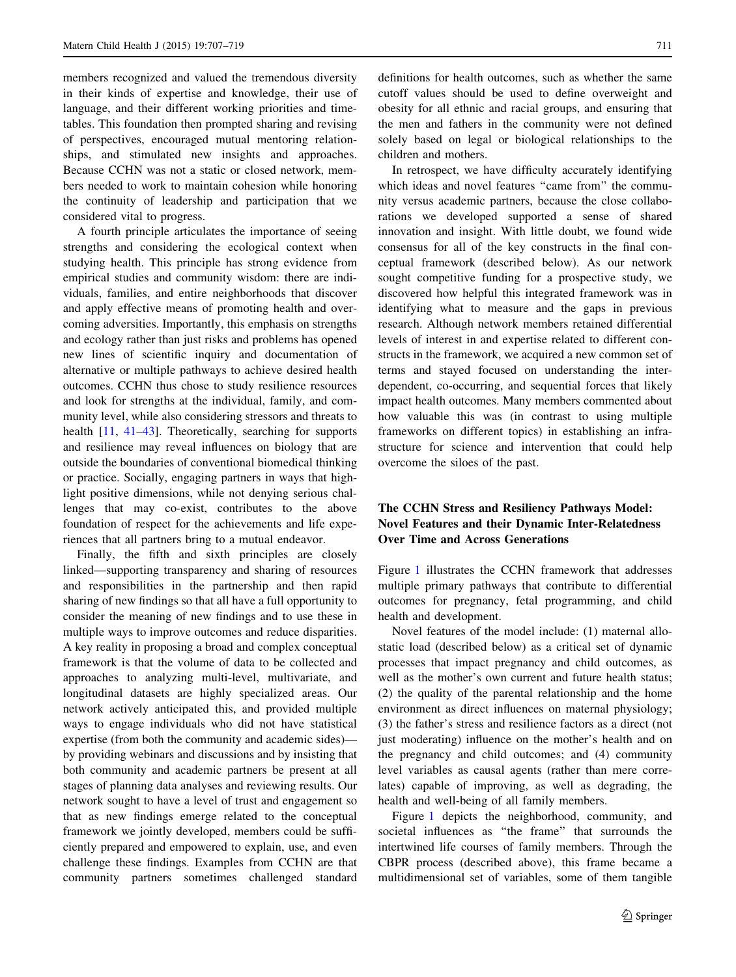members recognized and valued the tremendous diversity in their kinds of expertise and knowledge, their use of language, and their different working priorities and timetables. This foundation then prompted sharing and revising of perspectives, encouraged mutual mentoring relationships, and stimulated new insights and approaches. Because CCHN was not a static or closed network, members needed to work to maintain cohesion while honoring the continuity of leadership and participation that we considered vital to progress.

A fourth principle articulates the importance of seeing strengths and considering the ecological context when studying health. This principle has strong evidence from empirical studies and community wisdom: there are individuals, families, and entire neighborhoods that discover and apply effective means of promoting health and overcoming adversities. Importantly, this emphasis on strengths and ecology rather than just risks and problems has opened new lines of scientific inquiry and documentation of alternative or multiple pathways to achieve desired health outcomes. CCHN thus chose to study resilience resources and look for strengths at the individual, family, and community level, while also considering stressors and threats to health [\[11](#page-11-0), [41–43](#page-12-0)]. Theoretically, searching for supports and resilience may reveal influences on biology that are outside the boundaries of conventional biomedical thinking or practice. Socially, engaging partners in ways that highlight positive dimensions, while not denying serious challenges that may co-exist, contributes to the above foundation of respect for the achievements and life experiences that all partners bring to a mutual endeavor.

Finally, the fifth and sixth principles are closely linked—supporting transparency and sharing of resources and responsibilities in the partnership and then rapid sharing of new findings so that all have a full opportunity to consider the meaning of new findings and to use these in multiple ways to improve outcomes and reduce disparities. A key reality in proposing a broad and complex conceptual framework is that the volume of data to be collected and approaches to analyzing multi-level, multivariate, and longitudinal datasets are highly specialized areas. Our network actively anticipated this, and provided multiple ways to engage individuals who did not have statistical expertise (from both the community and academic sides) by providing webinars and discussions and by insisting that both community and academic partners be present at all stages of planning data analyses and reviewing results. Our network sought to have a level of trust and engagement so that as new findings emerge related to the conceptual framework we jointly developed, members could be sufficiently prepared and empowered to explain, use, and even challenge these findings. Examples from CCHN are that community partners sometimes challenged standard

definitions for health outcomes, such as whether the same cutoff values should be used to define overweight and obesity for all ethnic and racial groups, and ensuring that the men and fathers in the community were not defined solely based on legal or biological relationships to the children and mothers.

In retrospect, we have difficulty accurately identifying which ideas and novel features "came from" the community versus academic partners, because the close collaborations we developed supported a sense of shared innovation and insight. With little doubt, we found wide consensus for all of the key constructs in the final conceptual framework (described below). As our network sought competitive funding for a prospective study, we discovered how helpful this integrated framework was in identifying what to measure and the gaps in previous research. Although network members retained differential levels of interest in and expertise related to different constructs in the framework, we acquired a new common set of terms and stayed focused on understanding the interdependent, co-occurring, and sequential forces that likely impact health outcomes. Many members commented about how valuable this was (in contrast to using multiple frameworks on different topics) in establishing an infrastructure for science and intervention that could help overcome the siloes of the past.

# The CCHN Stress and Resiliency Pathways Model: Novel Features and their Dynamic Inter-Relatedness Over Time and Across Generations

Figure [1](#page-5-0) illustrates the CCHN framework that addresses multiple primary pathways that contribute to differential outcomes for pregnancy, fetal programming, and child health and development.

Novel features of the model include: (1) maternal allostatic load (described below) as a critical set of dynamic processes that impact pregnancy and child outcomes, as well as the mother's own current and future health status; (2) the quality of the parental relationship and the home environment as direct influences on maternal physiology; (3) the father's stress and resilience factors as a direct (not just moderating) influence on the mother's health and on the pregnancy and child outcomes; and (4) community level variables as causal agents (rather than mere correlates) capable of improving, as well as degrading, the health and well-being of all family members.

Figure [1](#page-5-0) depicts the neighborhood, community, and societal influences as ''the frame'' that surrounds the intertwined life courses of family members. Through the CBPR process (described above), this frame became a multidimensional set of variables, some of them tangible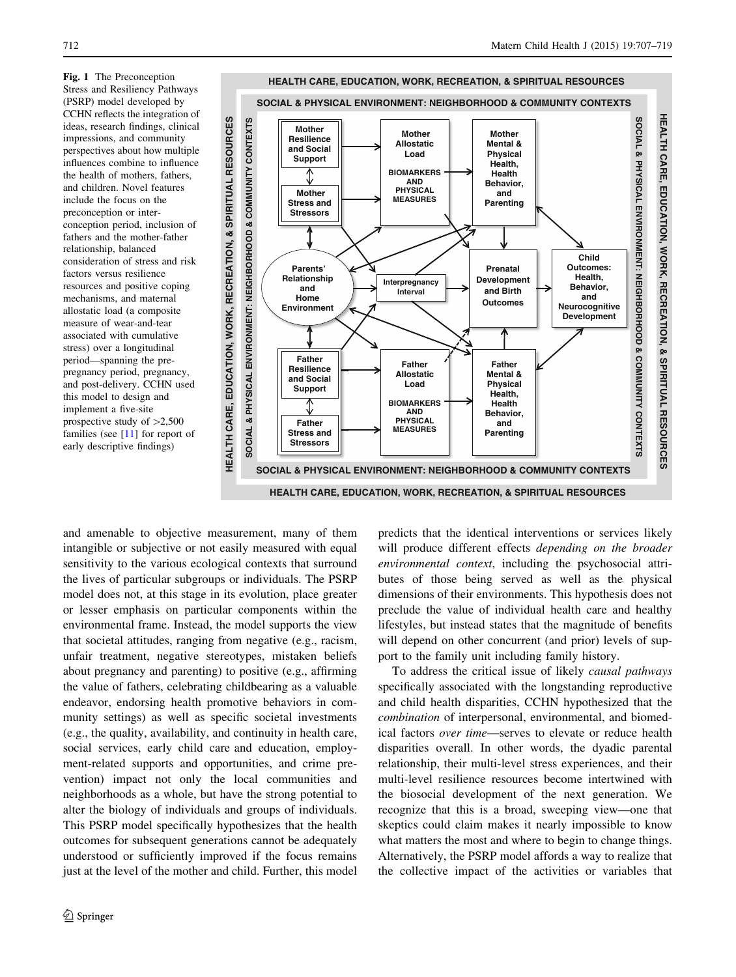<span id="page-5-0"></span>Fig. 1 The Preconception Stress and Resiliency Pathways (PSRP) model developed by CCHN reflects the integration of ideas, research findings, clinical impressions, and community perspectives about how multiple influences combine to influence the health of mothers, fathers, and children. Novel features include the focus on the preconception or interconception period, inclusion of fathers and the mother-father relationship, balanced consideration of stress and risk factors versus resilience resources and positive coping mechanisms, and maternal allostatic load (a composite measure of wear-and-tear associated with cumulative stress) over a longitudinal period—spanning the prepregnancy period, pregnancy, and post-delivery. CCHN used this model to design and implement a five-site prospective study of  $>2,500$ families (see [[11](#page-11-0)] for report of early descriptive findings)



and amenable to objective measurement, many of them intangible or subjective or not easily measured with equal sensitivity to the various ecological contexts that surround the lives of particular subgroups or individuals. The PSRP model does not, at this stage in its evolution, place greater or lesser emphasis on particular components within the environmental frame. Instead, the model supports the view that societal attitudes, ranging from negative (e.g., racism, unfair treatment, negative stereotypes, mistaken beliefs about pregnancy and parenting) to positive (e.g., affirming the value of fathers, celebrating childbearing as a valuable endeavor, endorsing health promotive behaviors in community settings) as well as specific societal investments (e.g., the quality, availability, and continuity in health care, social services, early child care and education, employment-related supports and opportunities, and crime prevention) impact not only the local communities and neighborhoods as a whole, but have the strong potential to alter the biology of individuals and groups of individuals. This PSRP model specifically hypothesizes that the health outcomes for subsequent generations cannot be adequately understood or sufficiently improved if the focus remains just at the level of the mother and child. Further, this model

predicts that the identical interventions or services likely will produce different effects depending on the broader environmental context, including the psychosocial attributes of those being served as well as the physical dimensions of their environments. This hypothesis does not preclude the value of individual health care and healthy lifestyles, but instead states that the magnitude of benefits will depend on other concurrent (and prior) levels of support to the family unit including family history.

To address the critical issue of likely causal pathways specifically associated with the longstanding reproductive and child health disparities, CCHN hypothesized that the combination of interpersonal, environmental, and biomedical factors over time—serves to elevate or reduce health disparities overall. In other words, the dyadic parental relationship, their multi-level stress experiences, and their multi-level resilience resources become intertwined with the biosocial development of the next generation. We recognize that this is a broad, sweeping view—one that skeptics could claim makes it nearly impossible to know what matters the most and where to begin to change things. Alternatively, the PSRP model affords a way to realize that the collective impact of the activities or variables that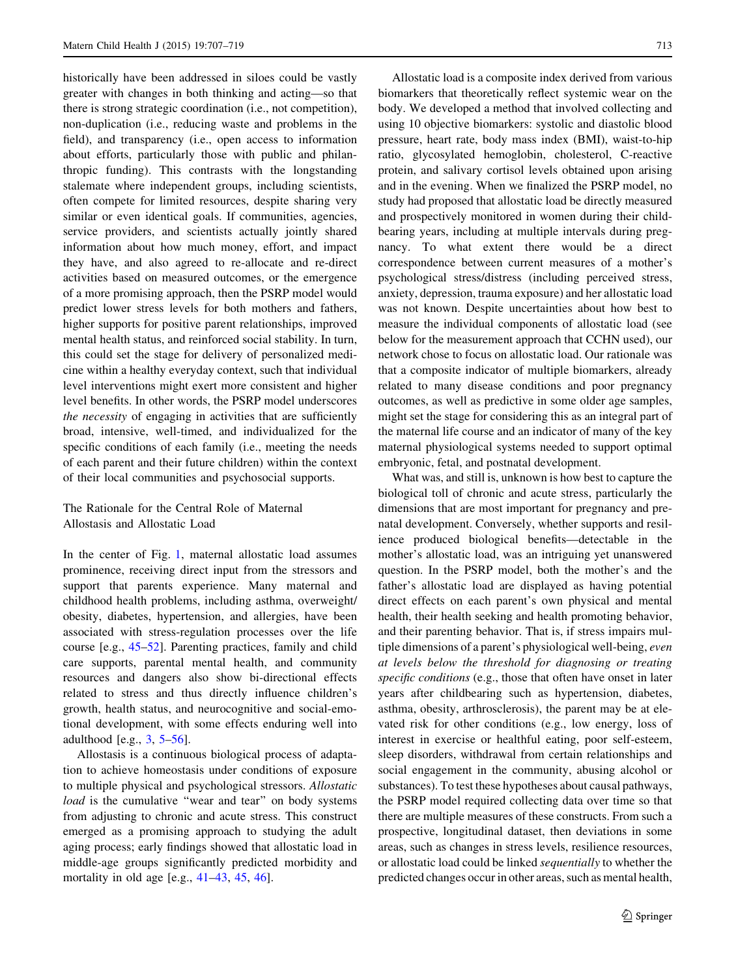historically have been addressed in siloes could be vastly greater with changes in both thinking and acting—so that there is strong strategic coordination (i.e., not competition), non-duplication (i.e., reducing waste and problems in the field), and transparency (i.e., open access to information about efforts, particularly those with public and philanthropic funding). This contrasts with the longstanding stalemate where independent groups, including scientists, often compete for limited resources, despite sharing very similar or even identical goals. If communities, agencies, service providers, and scientists actually jointly shared information about how much money, effort, and impact they have, and also agreed to re-allocate and re-direct activities based on measured outcomes, or the emergence of a more promising approach, then the PSRP model would predict lower stress levels for both mothers and fathers, higher supports for positive parent relationships, improved mental health status, and reinforced social stability. In turn, this could set the stage for delivery of personalized medicine within a healthy everyday context, such that individual level interventions might exert more consistent and higher level benefits. In other words, the PSRP model underscores the necessity of engaging in activities that are sufficiently broad, intensive, well-timed, and individualized for the specific conditions of each family (i.e., meeting the needs of each parent and their future children) within the context of their local communities and psychosocial supports.

The Rationale for the Central Role of Maternal Allostasis and Allostatic Load

In the center of Fig. [1,](#page-5-0) maternal allostatic load assumes prominence, receiving direct input from the stressors and support that parents experience. Many maternal and childhood health problems, including asthma, overweight/ obesity, diabetes, hypertension, and allergies, have been associated with stress-regulation processes over the life course [e.g., [45–52](#page-12-0)]. Parenting practices, family and child care supports, parental mental health, and community resources and dangers also show bi-directional effects related to stress and thus directly influence children's growth, health status, and neurocognitive and social-emotional development, with some effects enduring well into adulthood [e.g., [3,](#page-11-0) [5–](#page-11-0)[56\]](#page-12-0).

Allostasis is a continuous biological process of adaptation to achieve homeostasis under conditions of exposure to multiple physical and psychological stressors. Allostatic load is the cumulative "wear and tear" on body systems from adjusting to chronic and acute stress. This construct emerged as a promising approach to studying the adult aging process; early findings showed that allostatic load in middle-age groups significantly predicted morbidity and mortality in old age [e.g., [41–43](#page-12-0), [45](#page-12-0), [46\]](#page-12-0).

Allostatic load is a composite index derived from various biomarkers that theoretically reflect systemic wear on the body. We developed a method that involved collecting and using 10 objective biomarkers: systolic and diastolic blood pressure, heart rate, body mass index (BMI), waist-to-hip ratio, glycosylated hemoglobin, cholesterol, C-reactive protein, and salivary cortisol levels obtained upon arising and in the evening. When we finalized the PSRP model, no study had proposed that allostatic load be directly measured and prospectively monitored in women during their childbearing years, including at multiple intervals during pregnancy. To what extent there would be a direct correspondence between current measures of a mother's psychological stress/distress (including perceived stress, anxiety, depression, trauma exposure) and her allostatic load was not known. Despite uncertainties about how best to measure the individual components of allostatic load (see below for the measurement approach that CCHN used), our network chose to focus on allostatic load. Our rationale was that a composite indicator of multiple biomarkers, already related to many disease conditions and poor pregnancy outcomes, as well as predictive in some older age samples, might set the stage for considering this as an integral part of the maternal life course and an indicator of many of the key maternal physiological systems needed to support optimal embryonic, fetal, and postnatal development.

What was, and still is, unknown is how best to capture the biological toll of chronic and acute stress, particularly the dimensions that are most important for pregnancy and prenatal development. Conversely, whether supports and resilience produced biological benefits—detectable in the mother's allostatic load, was an intriguing yet unanswered question. In the PSRP model, both the mother's and the father's allostatic load are displayed as having potential direct effects on each parent's own physical and mental health, their health seeking and health promoting behavior, and their parenting behavior. That is, if stress impairs multiple dimensions of a parent's physiological well-being, even at levels below the threshold for diagnosing or treating specific conditions (e.g., those that often have onset in later years after childbearing such as hypertension, diabetes, asthma, obesity, arthrosclerosis), the parent may be at elevated risk for other conditions (e.g., low energy, loss of interest in exercise or healthful eating, poor self-esteem, sleep disorders, withdrawal from certain relationships and social engagement in the community, abusing alcohol or substances). To test these hypotheses about causal pathways, the PSRP model required collecting data over time so that there are multiple measures of these constructs. From such a prospective, longitudinal dataset, then deviations in some areas, such as changes in stress levels, resilience resources, or allostatic load could be linked sequentially to whether the predicted changes occur in other areas, such as mental health,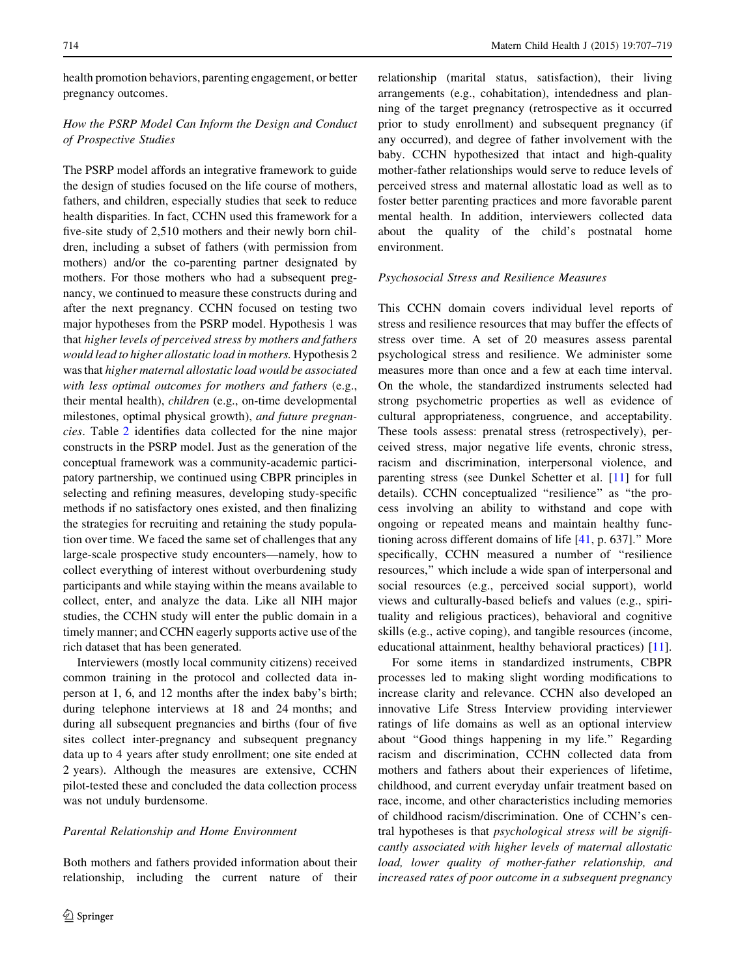health promotion behaviors, parenting engagement, or better pregnancy outcomes.

# How the PSRP Model Can Inform the Design and Conduct of Prospective Studies

The PSRP model affords an integrative framework to guide the design of studies focused on the life course of mothers, fathers, and children, especially studies that seek to reduce health disparities. In fact, CCHN used this framework for a five-site study of 2,510 mothers and their newly born children, including a subset of fathers (with permission from mothers) and/or the co-parenting partner designated by mothers. For those mothers who had a subsequent pregnancy, we continued to measure these constructs during and after the next pregnancy. CCHN focused on testing two major hypotheses from the PSRP model. Hypothesis 1 was that higher levels of perceived stress by mothers and fathers would lead to higher allostatic load in mothers. Hypothesis 2 was that higher maternal allostatic load would be associated with less optimal outcomes for mothers and fathers (e.g., their mental health), children (e.g., on-time developmental milestones, optimal physical growth), and future pregnancies. Table [2](#page-8-0) identifies data collected for the nine major constructs in the PSRP model. Just as the generation of the conceptual framework was a community-academic participatory partnership, we continued using CBPR principles in selecting and refining measures, developing study-specific methods if no satisfactory ones existed, and then finalizing the strategies for recruiting and retaining the study population over time. We faced the same set of challenges that any large-scale prospective study encounters—namely, how to collect everything of interest without overburdening study participants and while staying within the means available to collect, enter, and analyze the data. Like all NIH major studies, the CCHN study will enter the public domain in a timely manner; and CCHN eagerly supports active use of the rich dataset that has been generated.

Interviewers (mostly local community citizens) received common training in the protocol and collected data inperson at 1, 6, and 12 months after the index baby's birth; during telephone interviews at 18 and 24 months; and during all subsequent pregnancies and births (four of five sites collect inter-pregnancy and subsequent pregnancy data up to 4 years after study enrollment; one site ended at 2 years). Although the measures are extensive, CCHN pilot-tested these and concluded the data collection process was not unduly burdensome.

## Parental Relationship and Home Environment

Both mothers and fathers provided information about their relationship, including the current nature of their relationship (marital status, satisfaction), their living arrangements (e.g., cohabitation), intendedness and planning of the target pregnancy (retrospective as it occurred prior to study enrollment) and subsequent pregnancy (if any occurred), and degree of father involvement with the baby. CCHN hypothesized that intact and high-quality mother-father relationships would serve to reduce levels of perceived stress and maternal allostatic load as well as to foster better parenting practices and more favorable parent mental health. In addition, interviewers collected data about the quality of the child's postnatal home environment.

#### Psychosocial Stress and Resilience Measures

This CCHN domain covers individual level reports of stress and resilience resources that may buffer the effects of stress over time. A set of 20 measures assess parental psychological stress and resilience. We administer some measures more than once and a few at each time interval. On the whole, the standardized instruments selected had strong psychometric properties as well as evidence of cultural appropriateness, congruence, and acceptability. These tools assess: prenatal stress (retrospectively), perceived stress, major negative life events, chronic stress, racism and discrimination, interpersonal violence, and parenting stress (see Dunkel Schetter et al. [\[11](#page-11-0)] for full details). CCHN conceptualized ''resilience'' as ''the process involving an ability to withstand and cope with ongoing or repeated means and maintain healthy functioning across different domains of life [[41,](#page-12-0) p. 637].'' More specifically, CCHN measured a number of ''resilience resources,'' which include a wide span of interpersonal and social resources (e.g., perceived social support), world views and culturally-based beliefs and values (e.g., spirituality and religious practices), behavioral and cognitive skills (e.g., active coping), and tangible resources (income, educational attainment, healthy behavioral practices) [\[11](#page-11-0)].

For some items in standardized instruments, CBPR processes led to making slight wording modifications to increase clarity and relevance. CCHN also developed an innovative Life Stress Interview providing interviewer ratings of life domains as well as an optional interview about ''Good things happening in my life.'' Regarding racism and discrimination, CCHN collected data from mothers and fathers about their experiences of lifetime, childhood, and current everyday unfair treatment based on race, income, and other characteristics including memories of childhood racism/discrimination. One of CCHN's central hypotheses is that psychological stress will be significantly associated with higher levels of maternal allostatic load, lower quality of mother-father relationship, and increased rates of poor outcome in a subsequent pregnancy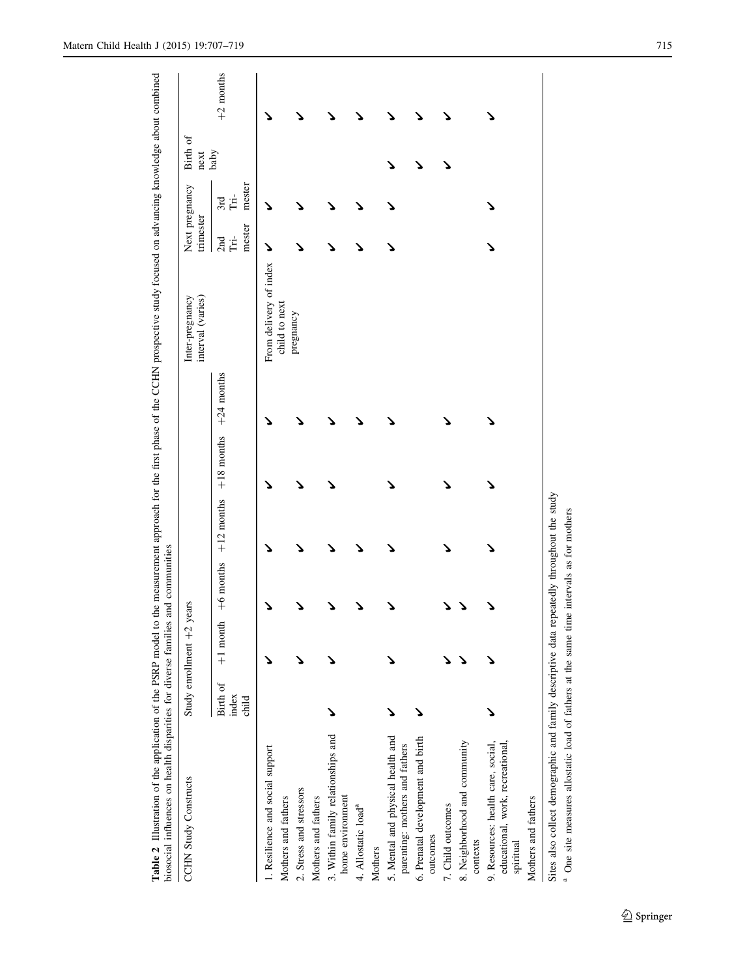| CCHN Study Constructs                                                               |                            | Study enrollment +2 years |                                       |              | interval (varies)<br>Inter-pregnancy    | trimester                      | Next pregnancy     | Birth of<br>next |             |
|-------------------------------------------------------------------------------------|----------------------------|---------------------------|---------------------------------------|--------------|-----------------------------------------|--------------------------------|--------------------|------------------|-------------|
|                                                                                     | Birth of<br>index<br>child | $+1$ month                | $+6$ months $+12$ months $+18$ months | $+24$ months |                                         | mester<br>$\rm \dot{m}$<br>2nd | mester<br>Ė<br>3rd | baby             | $+2$ months |
| 1. Resilience and social support                                                    |                            |                           |                                       |              | From delivery of index<br>child to next |                                |                    |                  |             |
| 2. Stress and stressors<br>Mothers and fathers                                      |                            |                           |                                       |              | pregnancy                               |                                |                    |                  |             |
| Mothers and fathers                                                                 |                            |                           |                                       |              |                                         |                                |                    |                  |             |
| 3. Within family relationships and<br>home environment                              |                            |                           |                                       |              |                                         |                                |                    |                  |             |
| 4. Allostatic load <sup>a</sup>                                                     |                            |                           |                                       |              |                                         |                                |                    |                  |             |
| Mothers                                                                             |                            |                           |                                       |              |                                         |                                |                    |                  |             |
| 5. Mental and physical health and<br>parenting: mothers and fathers                 |                            |                           |                                       |              |                                         |                                |                    |                  |             |
| 6. Prenatal development and birth<br>outcomes                                       |                            |                           |                                       |              |                                         |                                |                    |                  |             |
| 7. Child outcomes                                                                   |                            |                           |                                       |              |                                         |                                |                    |                  |             |
| 8. Neighborhood and community<br>contexts                                           |                            |                           |                                       |              |                                         |                                |                    |                  |             |
| educational, work, recreational,<br>9. Resources: health care, social,<br>spiritual |                            |                           |                                       |              |                                         |                                |                    |                  |             |
| Mothers and fathers                                                                 |                            |                           |                                       |              |                                         |                                |                    |                  |             |

<span id="page-8-0"></span>Table 2 Illustration of the application of the PSRP model to the measurement approach for the first phase of the CCHN prospective study focused on advancing knowledge about combined Table 2 Illustration of the application of the PSRP model to the measurement approach for the first phase of the CCHN prospective study focused on advancing knowledge about combined

<sup>a</sup> One site measures allostatic load of fathers at the same time intervals as for mothers One site measures allostatic load of fathers at the same time intervals as for mothers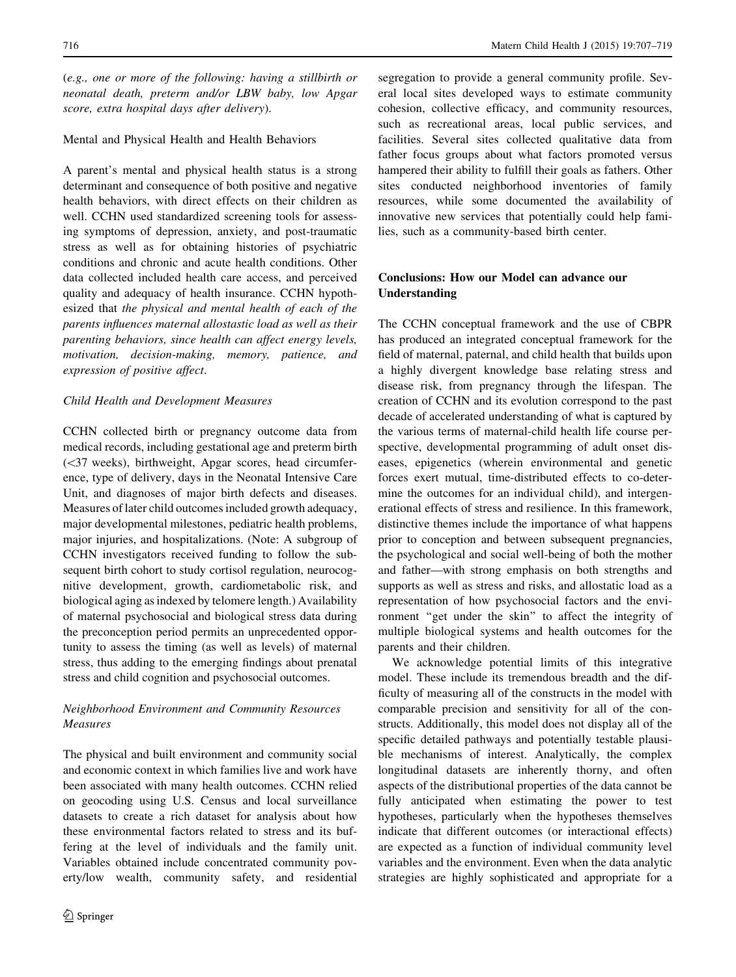(e.g., one or more of the following: having a stillbirth or neonatal death, preterm and/or LBW baby, low Apgar score, extra hospital days after delivery).

### Mental and Physical Health and Health Behaviors

A parent's mental and physical health status is a strong determinant and consequence of both positive and negative health behaviors, with direct effects on their children as well. CCHN used standardized screening tools for assessing symptoms of depression, anxiety, and post-traumatic stress as well as for obtaining histories of psychiatric conditions and chronic and acute health conditions. Other data collected included health care access, and perceived quality and adequacy of health insurance. CCHN hypothesized that the physical and mental health of each of the parents influences maternal allostastic load as well as their parenting behaviors, since health can affect energy levels, motivation, decision-making, memory, patience, and expression of positive affect.

#### Child Health and Development Measures

CCHN collected birth or pregnancy outcome data from medical records, including gestational age and preterm birth  $(<$ 37 weeks), birthweight, Apgar scores, head circumference, type of delivery, days in the Neonatal Intensive Care Unit, and diagnoses of major birth defects and diseases. Measures of later child outcomes included growth adequacy, major developmental milestones, pediatric health problems, major injuries, and hospitalizations. (Note: A subgroup of CCHN investigators received funding to follow the subsequent birth cohort to study cortisol regulation, neurocognitive development, growth, cardiometabolic risk, and biological aging as indexed by telomere length.) Availability of maternal psychosocial and biological stress data during the preconception period permits an unprecedented opportunity to assess the timing (as well as levels) of maternal stress, thus adding to the emerging findings about prenatal stress and child cognition and psychosocial outcomes.

# Neighborhood Environment and Community Resources Measures

The physical and built environment and community social and economic context in which families live and work have been associated with many health outcomes. CCHN relied on geocoding using U.S. Census and local surveillance datasets to create a rich dataset for analysis about how these environmental factors related to stress and its buffering at the level of individuals and the family unit. Variables obtained include concentrated community poverty/low wealth, community safety, and residential segregation to provide a general community profile. Several local sites developed ways to estimate community cohesion, collective efficacy, and community resources, such as recreational areas, local public services, and facilities. Several sites collected qualitative data from father focus groups about what factors promoted versus hampered their ability to fulfill their goals as fathers. Other sites conducted neighborhood inventories of family resources, while some documented the availability of innovative new services that potentially could help families, such as a community-based birth center.

## Conclusions: How our Model can advance our Understanding

The CCHN conceptual framework and the use of CBPR has produced an integrated conceptual framework for the field of maternal, paternal, and child health that builds upon a highly divergent knowledge base relating stress and disease risk, from pregnancy through the lifespan. The creation of CCHN and its evolution correspond to the past decade of accelerated understanding of what is captured by the various terms of maternal-child health life course perspective, developmental programming of adult onset diseases, epigenetics (wherein environmental and genetic forces exert mutual, time-distributed effects to co-determine the outcomes for an individual child), and intergenerational effects of stress and resilience. In this framework, distinctive themes include the importance of what happens prior to conception and between subsequent pregnancies, the psychological and social well-being of both the mother and father—with strong emphasis on both strengths and supports as well as stress and risks, and allostatic load as a representation of how psychosocial factors and the environment ''get under the skin'' to affect the integrity of multiple biological systems and health outcomes for the parents and their children.

We acknowledge potential limits of this integrative model. These include its tremendous breadth and the difficulty of measuring all of the constructs in the model with comparable precision and sensitivity for all of the constructs. Additionally, this model does not display all of the specific detailed pathways and potentially testable plausible mechanisms of interest. Analytically, the complex longitudinal datasets are inherently thorny, and often aspects of the distributional properties of the data cannot be fully anticipated when estimating the power to test hypotheses, particularly when the hypotheses themselves indicate that different outcomes (or interactional effects) are expected as a function of individual community level variables and the environment. Even when the data analytic strategies are highly sophisticated and appropriate for a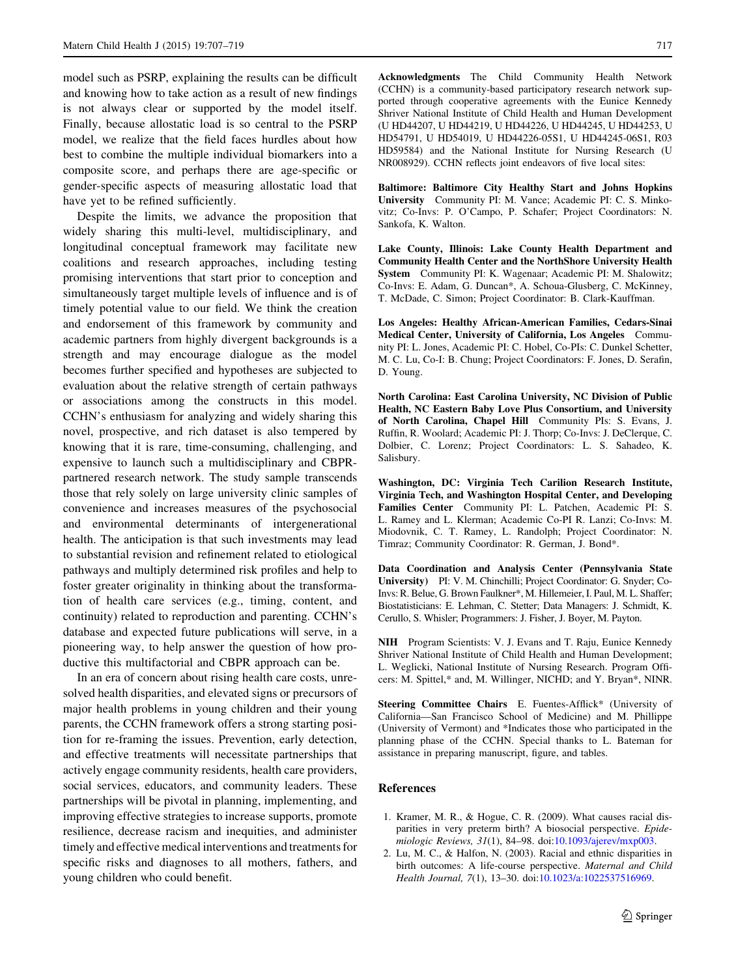<span id="page-10-0"></span>model such as PSRP, explaining the results can be difficult and knowing how to take action as a result of new findings is not always clear or supported by the model itself. Finally, because allostatic load is so central to the PSRP model, we realize that the field faces hurdles about how best to combine the multiple individual biomarkers into a composite score, and perhaps there are age-specific or gender-specific aspects of measuring allostatic load that have yet to be refined sufficiently.

Despite the limits, we advance the proposition that widely sharing this multi-level, multidisciplinary, and longitudinal conceptual framework may facilitate new coalitions and research approaches, including testing promising interventions that start prior to conception and simultaneously target multiple levels of influence and is of timely potential value to our field. We think the creation and endorsement of this framework by community and academic partners from highly divergent backgrounds is a strength and may encourage dialogue as the model becomes further specified and hypotheses are subjected to evaluation about the relative strength of certain pathways or associations among the constructs in this model. CCHN's enthusiasm for analyzing and widely sharing this novel, prospective, and rich dataset is also tempered by knowing that it is rare, time-consuming, challenging, and expensive to launch such a multidisciplinary and CBPRpartnered research network. The study sample transcends those that rely solely on large university clinic samples of convenience and increases measures of the psychosocial and environmental determinants of intergenerational health. The anticipation is that such investments may lead to substantial revision and refinement related to etiological pathways and multiply determined risk profiles and help to foster greater originality in thinking about the transformation of health care services (e.g., timing, content, and continuity) related to reproduction and parenting. CCHN's database and expected future publications will serve, in a pioneering way, to help answer the question of how productive this multifactorial and CBPR approach can be.

In an era of concern about rising health care costs, unresolved health disparities, and elevated signs or precursors of major health problems in young children and their young parents, the CCHN framework offers a strong starting position for re-framing the issues. Prevention, early detection, and effective treatments will necessitate partnerships that actively engage community residents, health care providers, social services, educators, and community leaders. These partnerships will be pivotal in planning, implementing, and improving effective strategies to increase supports, promote resilience, decrease racism and inequities, and administer timely and effective medical interventions and treatments for specific risks and diagnoses to all mothers, fathers, and young children who could benefit.

Acknowledgments The Child Community Health Network (CCHN) is a community-based participatory research network supported through cooperative agreements with the Eunice Kennedy Shriver National Institute of Child Health and Human Development (U HD44207, U HD44219, U HD44226, U HD44245, U HD44253, U HD54791, U HD54019, U HD44226-05S1, U HD44245-06S1, R03 HD59584) and the National Institute for Nursing Research (U NR008929). CCHN reflects joint endeavors of five local sites:

Baltimore: Baltimore City Healthy Start and Johns Hopkins University Community PI: M. Vance; Academic PI: C. S. Minkovitz; Co-Invs: P. O'Campo, P. Schafer; Project Coordinators: N. Sankofa, K. Walton.

Lake County, Illinois: Lake County Health Department and Community Health Center and the NorthShore University Health System Community PI: K. Wagenaar; Academic PI: M. Shalowitz; Co-Invs: E. Adam, G. Duncan\*, A. Schoua-Glusberg, C. McKinney, T. McDade, C. Simon; Project Coordinator: B. Clark-Kauffman.

Los Angeles: Healthy African-American Families, Cedars-Sinai Medical Center, University of California, Los Angeles Community PI: L. Jones, Academic PI: C. Hobel, Co-PIs: C. Dunkel Schetter, M. C. Lu, Co-I: B. Chung; Project Coordinators: F. Jones, D. Serafin, D. Young.

North Carolina: East Carolina University, NC Division of Public Health, NC Eastern Baby Love Plus Consortium, and University of North Carolina, Chapel Hill Community PIs: S. Evans, J. Ruffin, R. Woolard; Academic PI: J. Thorp; Co-Invs: J. DeClerque, C. Dolbier, C. Lorenz; Project Coordinators: L. S. Sahadeo, K. Salisbury.

Washington, DC: Virginia Tech Carilion Research Institute, Virginia Tech, and Washington Hospital Center, and Developing Families Center Community PI: L. Patchen, Academic PI: S. L. Ramey and L. Klerman; Academic Co-PI R. Lanzi; Co-Invs: M. Miodovnik, C. T. Ramey, L. Randolph; Project Coordinator: N. Timraz; Community Coordinator: R. German, J. Bond\*.

Data Coordination and Analysis Center (Pennsylvania State University) PI: V. M. Chinchilli; Project Coordinator: G. Snyder; Co-Invs: R. Belue, G. Brown Faulkner\*, M. Hillemeier, I. Paul, M. L. Shaffer; Biostatisticians: E. Lehman, C. Stetter; Data Managers: J. Schmidt, K. Cerullo, S. Whisler; Programmers: J. Fisher, J. Boyer, M. Payton.

NIH Program Scientists: V. J. Evans and T. Raju, Eunice Kennedy Shriver National Institute of Child Health and Human Development; L. Weglicki, National Institute of Nursing Research. Program Officers: M. Spittel,\* and, M. Willinger, NICHD; and Y. Bryan\*, NINR.

Steering Committee Chairs E. Fuentes-Afflick\* (University of California—San Francisco School of Medicine) and M. Phillippe (University of Vermont) and \*Indicates those who participated in the planning phase of the CCHN. Special thanks to L. Bateman for assistance in preparing manuscript, figure, and tables.

#### References

- 1. Kramer, M. R., & Hogue, C. R. (2009). What causes racial disparities in very preterm birth? A biosocial perspective. Epidemiologic Reviews, 31(1), 84–98. doi:[10.1093/ajerev/mxp003.](http://dx.doi.org/10.1093/ajerev/mxp003)
- 2. Lu, M. C., & Halfon, N. (2003). Racial and ethnic disparities in birth outcomes: A life-course perspective. Maternal and Child Health Journal, 7(1), 13–30. doi[:10.1023/a:1022537516969.](http://dx.doi.org/10.1023/a:1022537516969)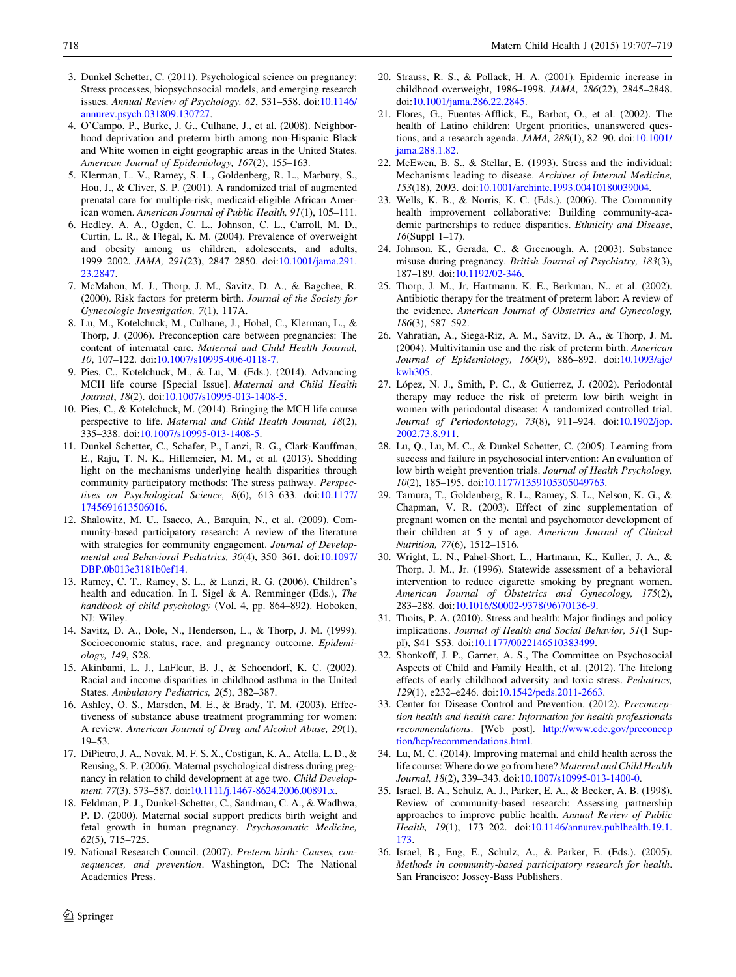- <span id="page-11-0"></span>3. Dunkel Schetter, C. (2011). Psychological science on pregnancy: Stress processes, biopsychosocial models, and emerging research issues. Annual Review of Psychology, 62, 531–558. doi[:10.1146/](http://dx.doi.org/10.1146/annurev.psych.031809.130727) [annurev.psych.031809.130727.](http://dx.doi.org/10.1146/annurev.psych.031809.130727)
- 4. O'Campo, P., Burke, J. G., Culhane, J., et al. (2008). Neighborhood deprivation and preterm birth among non-Hispanic Black and White women in eight geographic areas in the United States. American Journal of Epidemiology, 167(2), 155–163.
- 5. Klerman, L. V., Ramey, S. L., Goldenberg, R. L., Marbury, S., Hou, J., & Cliver, S. P. (2001). A randomized trial of augmented prenatal care for multiple-risk, medicaid-eligible African American women. American Journal of Public Health, 91(1), 105–111.
- 6. Hedley, A. A., Ogden, C. L., Johnson, C. L., Carroll, M. D., Curtin, L. R., & Flegal, K. M. (2004). Prevalence of overweight and obesity among us children, adolescents, and adults, 1999–2002. JAMA, 291(23), 2847–2850. doi:[10.1001/jama.291.](http://dx.doi.org/10.1001/jama.291.23.2847) [23.2847](http://dx.doi.org/10.1001/jama.291.23.2847).
- 7. McMahon, M. J., Thorp, J. M., Savitz, D. A., & Bagchee, R. (2000). Risk factors for preterm birth. Journal of the Society for Gynecologic Investigation, 7(1), 117A.
- 8. Lu, M., Kotelchuck, M., Culhane, J., Hobel, C., Klerman, L., & Thorp, J. (2006). Preconception care between pregnancies: The content of internatal care. Maternal and Child Health Journal, 10, 107–122. doi:[10.1007/s10995-006-0118-7.](http://dx.doi.org/10.1007/s10995-006-0118-7)
- 9. Pies, C., Kotelchuck, M., & Lu, M. (Eds.). (2014). Advancing MCH life course [Special Issue]. Maternal and Child Health Journal, 18(2). doi[:10.1007/s10995-013-1408-5](http://dx.doi.org/10.1007/s10995-013-1408-5).
- 10. Pies, C., & Kotelchuck, M. (2014). Bringing the MCH life course perspective to life. Maternal and Child Health Journal, 18(2), 335–338. doi[:10.1007/s10995-013-1408-5](http://dx.doi.org/10.1007/s10995-013-1408-5).
- 11. Dunkel Schetter, C., Schafer, P., Lanzi, R. G., Clark-Kauffman, E., Raju, T. N. K., Hillemeier, M. M., et al. (2013). Shedding light on the mechanisms underlying health disparities through community participatory methods: The stress pathway. Perspectives on Psychological Science, 8(6), 613–633. doi[:10.1177/](http://dx.doi.org/10.1177/1745691613506016) [1745691613506016](http://dx.doi.org/10.1177/1745691613506016).
- 12. Shalowitz, M. U., Isacco, A., Barquin, N., et al. (2009). Community-based participatory research: A review of the literature with strategies for community engagement. Journal of Develop-mental and Behavioral Pediatrics, 30(4), 350-361. doi[:10.1097/](http://dx.doi.org/10.1097/DBP.0b013e3181b0ef14) [DBP.0b013e3181b0ef14.](http://dx.doi.org/10.1097/DBP.0b013e3181b0ef14)
- 13. Ramey, C. T., Ramey, S. L., & Lanzi, R. G. (2006). Children's health and education. In I. Sigel & A. Remminger (Eds.), The handbook of child psychology (Vol. 4, pp. 864–892). Hoboken, NJ: Wiley.
- 14. Savitz, D. A., Dole, N., Henderson, L., & Thorp, J. M. (1999). Socioeconomic status, race, and pregnancy outcome. Epidemiology, 149, S28.
- 15. Akinbami, L. J., LaFleur, B. J., & Schoendorf, K. C. (2002). Racial and income disparities in childhood asthma in the United States. Ambulatory Pediatrics, 2(5), 382–387.
- 16. Ashley, O. S., Marsden, M. E., & Brady, T. M. (2003). Effectiveness of substance abuse treatment programming for women: A review. American Journal of Drug and Alcohol Abuse, 29(1), 19–53.
- 17. DiPietro, J. A., Novak, M. F. S. X., Costigan, K. A., Atella, L. D., & Reusing, S. P. (2006). Maternal psychological distress during pregnancy in relation to child development at age two. Child Develop-ment, 77(3), 573-587. doi[:10.1111/j.1467-8624.2006.00891.x](http://dx.doi.org/10.1111/j.1467-8624.2006.00891.x).
- 18. Feldman, P. J., Dunkel-Schetter, C., Sandman, C. A., & Wadhwa, P. D. (2000). Maternal social support predicts birth weight and fetal growth in human pregnancy. Psychosomatic Medicine, 62(5), 715–725.
- 19. National Research Council. (2007). Preterm birth: Causes, consequences, and prevention. Washington, DC: The National Academies Press.
- 20. Strauss, R. S., & Pollack, H. A. (2001). Epidemic increase in childhood overweight, 1986–1998. JAMA, 286(22), 2845–2848. doi:[10.1001/jama.286.22.2845.](http://dx.doi.org/10.1001/jama.286.22.2845)
- 21. Flores, G., Fuentes-Afflick, E., Barbot, O., et al. (2002). The health of Latino children: Urgent priorities, unanswered questions, and a research agenda. JAMA, 288(1), 82–90. doi[:10.1001/](http://dx.doi.org/10.1001/jama.288.1.82) [jama.288.1.82](http://dx.doi.org/10.1001/jama.288.1.82).
- 22. McEwen, B. S., & Stellar, E. (1993). Stress and the individual: Mechanisms leading to disease. Archives of Internal Medicine, 153(18), 2093. doi:[10.1001/archinte.1993.00410180039004](http://dx.doi.org/10.1001/archinte.1993.00410180039004).
- 23. Wells, K. B., & Norris, K. C. (Eds.). (2006). The Community health improvement collaborative: Building community-academic partnerships to reduce disparities. Ethnicity and Disease, 16(Suppl 1–17).
- 24. Johnson, K., Gerada, C., & Greenough, A. (2003). Substance misuse during pregnancy. British Journal of Psychiatry, 183(3), 187–189. doi:[10.1192/02-346](http://dx.doi.org/10.1192/02-346).
- 25. Thorp, J. M., Jr, Hartmann, K. E., Berkman, N., et al. (2002). Antibiotic therapy for the treatment of preterm labor: A review of the evidence. American Journal of Obstetrics and Gynecology, 186(3), 587–592.
- 26. Vahratian, A., Siega-Riz, A. M., Savitz, D. A., & Thorp, J. M. (2004). Multivitamin use and the risk of preterm birth. American Journal of Epidemiology, 160(9), 886–892. doi:[10.1093/aje/](http://dx.doi.org/10.1093/aje/kwh305) [kwh305.](http://dx.doi.org/10.1093/aje/kwh305)
- 27. López, N. J., Smith, P. C., & Gutierrez, J. (2002). Periodontal therapy may reduce the risk of preterm low birth weight in women with periodontal disease: A randomized controlled trial. Journal of Periodontology, 73(8), 911–924. doi[:10.1902/jop.](http://dx.doi.org/10.1902/jop.2002.73.8.911) [2002.73.8.911](http://dx.doi.org/10.1902/jop.2002.73.8.911).
- 28. Lu, Q., Lu, M. C., & Dunkel Schetter, C. (2005). Learning from success and failure in psychosocial intervention: An evaluation of low birth weight prevention trials. Journal of Health Psychology, 10(2), 185–195. doi:[10.1177/1359105305049763](http://dx.doi.org/10.1177/1359105305049763).
- 29. Tamura, T., Goldenberg, R. L., Ramey, S. L., Nelson, K. G., & Chapman, V. R. (2003). Effect of zinc supplementation of pregnant women on the mental and psychomotor development of their children at 5 y of age. American Journal of Clinical Nutrition, 77(6), 1512–1516.
- 30. Wright, L. N., Pahel-Short, L., Hartmann, K., Kuller, J. A., & Thorp, J. M., Jr. (1996). Statewide assessment of a behavioral intervention to reduce cigarette smoking by pregnant women. American Journal of Obstetrics and Gynecology, 175(2), 283–288. doi:[10.1016/S0002-9378\(96\)70136-9](http://dx.doi.org/10.1016/S0002-9378(96)70136-9).
- 31. Thoits, P. A. (2010). Stress and health: Major findings and policy implications. Journal of Health and Social Behavior, 51(1 Suppl), S41–S53. doi:[10.1177/0022146510383499](http://dx.doi.org/10.1177/0022146510383499).
- 32. Shonkoff, J. P., Garner, A. S., The Committee on Psychosocial Aspects of Child and Family Health, et al. (2012). The lifelong effects of early childhood adversity and toxic stress. Pediatrics, 129(1), e232–e246. doi:[10.1542/peds.2011-2663.](http://dx.doi.org/10.1542/peds.2011-2663)
- 33. Center for Disease Control and Prevention. (2012). Preconception health and health care: Information for health professionals recommendations. [Web post]. [http://www.cdc.gov/preconcep](http://www.cdc.gov/preconception/hcp/recommendations.html) [tion/hcp/recommendations.html](http://www.cdc.gov/preconception/hcp/recommendations.html).
- 34. Lu, M. C. (2014). Improving maternal and child health across the life course: Where do we go from here? Maternal and Child Health Journal, 18(2), 339–343. doi[:10.1007/s10995-013-1400-0.](http://dx.doi.org/10.1007/s10995-013-1400-0)
- 35. Israel, B. A., Schulz, A. J., Parker, E. A., & Becker, A. B. (1998). Review of community-based research: Assessing partnership approaches to improve public health. Annual Review of Public Health, 19(1), 173–202. doi:[10.1146/annurev.publhealth.19.1.](http://dx.doi.org/10.1146/annurev.publhealth.19.1.173) [173](http://dx.doi.org/10.1146/annurev.publhealth.19.1.173).
- 36. Israel, B., Eng, E., Schulz, A., & Parker, E. (Eds.). (2005). Methods in community-based participatory research for health. San Francisco: Jossey-Bass Publishers.